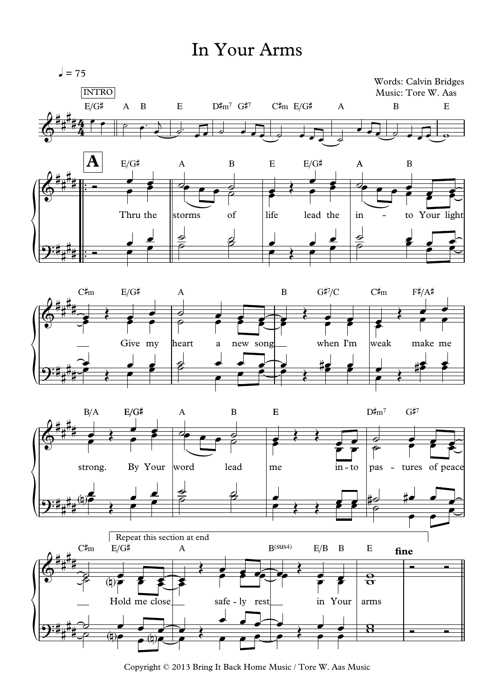## In Your Arms



Copyright © 2013 Bring It Back Home Music / Tore W. Aas Music